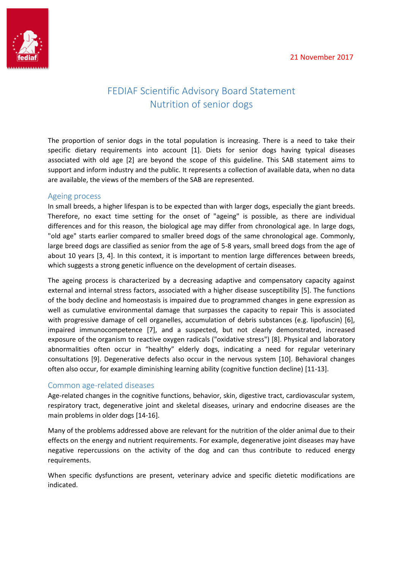

# FEDIAF Scientific Advisory Board Statement Nutrition of senior dogs

The proportion of senior dogs in the total population is increasing. There is a need to take their specific dietary requirements into account [1]. Diets for senior dogs having typical diseases associated with old age [2] are beyond the scope of this guideline. This SAB statement aims to support and inform industry and the public. It represents a collection of available data, when no data are available, the views of the members of the SAB are represented.

## Ageing process

In small breeds, a higher lifespan is to be expected than with larger dogs, especially the giant breeds. Therefore, no exact time setting for the onset of "ageing" is possible, as there are individual differences and for this reason, the biological age may differ from chronological age. In large dogs, "old age" starts earlier compared to smaller breed dogs of the same chronological age. Commonly, large breed dogs are classified as senior from the age of 5-8 years, small breed dogs from the age of about 10 years [3, 4]. In this context, it is important to mention large differences between breeds, which suggests a strong genetic influence on the development of certain diseases.

The ageing process is characterized by a decreasing adaptive and compensatory capacity against external and internal stress factors, associated with a higher disease susceptibility [5]. The functions of the body decline and homeostasis is impaired due to programmed changes in gene expression as well as cumulative environmental damage that surpasses the capacity to repair This is associated with progressive damage of cell organelles, accumulation of debris substances (e.g. lipofuscin) [6], impaired immunocompetence [7], and a suspected, but not clearly demonstrated, increased exposure of the organism to reactive oxygen radicals ("oxidative stress") [8]. Physical and laboratory abnormalities often occur in "healthy" elderly dogs, indicating a need for regular veterinary consultations [9]. Degenerative defects also occur in the nervous system [10]. Behavioral changes often also occur, for example diminishing learning ability (cognitive function decline) [11-13].

# Common age-related diseases

Age-related changes in the cognitive functions, behavior, skin, digestive tract, cardiovascular system, respiratory tract, degenerative joint and skeletal diseases, urinary and endocrine diseases are the main problems in older dogs [14-16].

Many of the problems addressed above are relevant for the nutrition of the older animal due to their effects on the energy and nutrient requirements. For example, degenerative joint diseases may have negative repercussions on the activity of the dog and can thus contribute to reduced energy requirements.

When specific dysfunctions are present, veterinary advice and specific dietetic modifications are indicated.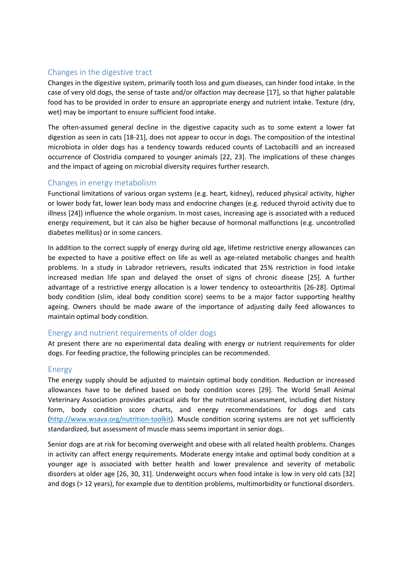## Changes in the digestive tract

Changes in the digestive system, primarily tooth loss and gum diseases, can hinder food intake. In the case of very old dogs, the sense of taste and/or olfaction may decrease [17], so that higher palatable food has to be provided in order to ensure an appropriate energy and nutrient intake. Texture (dry, wet) may be important to ensure sufficient food intake.

The often-assumed general decline in the digestive capacity such as to some extent a lower fat digestion as seen in cats [18-21], does not appear to occur in dogs. The composition of the intestinal microbiota in older dogs has a tendency towards reduced counts of Lactobacilli and an increased occurrence of Clostridia compared to younger animals [22, 23]. The implications of these changes and the impact of ageing on microbial diversity requires further research.

## Changes in energy metabolism

Functional limitations of various organ systems (e.g. heart, kidney), reduced physical activity, higher or lower body fat, lower lean body mass and endocrine changes (e.g. reduced thyroid activity due to illness [24]) influence the whole organism. In most cases, increasing age is associated with a reduced energy requirement, but it can also be higher because of hormonal malfunctions (e.g. uncontrolled diabetes mellitus) or in some cancers.

In addition to the correct supply of energy during old age, lifetime restrictive energy allowances can be expected to have a positive effect on life as well as age-related metabolic changes and health problems. In a study in Labrador retrievers, results indicated that 25% restriction in food intake increased median life span and delayed the onset of signs of chronic disease [25]. A further advantage of a restrictive energy allocation is a lower tendency to osteoarthritis [26-28]. Optimal body condition (slim, ideal body condition score) seems to be a major factor supporting healthy ageing. Owners should be made aware of the importance of adjusting daily feed allowances to maintain optimal body condition.

### Energy and nutrient requirements of older dogs

At present there are no experimental data dealing with energy or nutrient requirements for older dogs. For feeding practice, the following principles can be recommended.

### Energy

The energy supply should be adjusted to maintain optimal body condition. Reduction or increased allowances have to be defined based on body condition scores [29]. The World Small Animal Veterinary Association provides practical aids for the nutritional assessment, including diet history form, body condition score charts, and energy recommendations for dogs and cats [\(http://www.wsava.org/nutrition-toolkit\)](http://www.wsava.org/nutrition-toolkit). Muscle condition scoring systems are not yet sufficiently standardized, but assessment of muscle mass seems important in senior dogs.

Senior dogs are at risk for becoming overweight and obese with all related health problems. Changes in activity can affect energy requirements. Moderate energy intake and optimal body condition at a younger age is associated with better health and lower prevalence and severity of metabolic disorders at older age [26, 30, 31]. Underweight occurs when food intake is low in very old cats [32] and dogs (> 12 years), for example due to dentition problems, multimorbidity or functional disorders.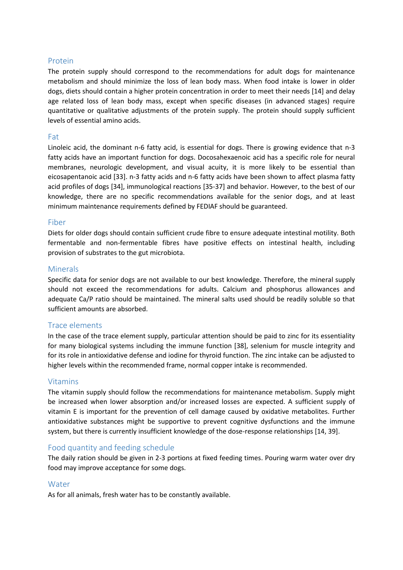## Protein

The protein supply should correspond to the recommendations for adult dogs for maintenance metabolism and should minimize the loss of lean body mass. When food intake is lower in older dogs, diets should contain a higher protein concentration in order to meet their needs [14] and delay age related loss of lean body mass, except when specific diseases (in advanced stages) require quantitative or qualitative adjustments of the protein supply. The protein should supply sufficient levels of essential amino acids.

#### Fat

Linoleic acid, the dominant n-6 fatty acid, is essential for dogs. There is growing evidence that n-3 fatty acids have an important function for dogs. Docosahexaenoic acid has a specific role for neural membranes, neurologic development, and visual acuity, it is more likely to be essential than eicosapentanoic acid [33]. n-3 fatty acids and n-6 fatty acids have been shown to affect plasma fatty acid profiles of dogs [34], immunological reactions [35-37] and behavior. However, to the best of our knowledge, there are no specific recommendations available for the senior dogs, and at least minimum maintenance requirements defined by FEDIAF should be guaranteed.

#### Fiber

Diets for older dogs should contain sufficient crude fibre to ensure adequate intestinal motility. Both fermentable and non-fermentable fibres have positive effects on intestinal health, including provision of substrates to the gut microbiota.

#### **Minerals**

Specific data for senior dogs are not available to our best knowledge. Therefore, the mineral supply should not exceed the recommendations for adults. Calcium and phosphorus allowances and adequate Ca/P ratio should be maintained. The mineral salts used should be readily soluble so that sufficient amounts are absorbed.

### Trace elements

In the case of the trace element supply, particular attention should be paid to zinc for its essentiality for many biological systems including the immune function [38], selenium for muscle integrity and for its role in antioxidative defense and iodine for thyroid function. The zinc intake can be adjusted to higher levels within the recommended frame, normal copper intake is recommended.

### Vitamins

The vitamin supply should follow the recommendations for maintenance metabolism. Supply might be increased when lower absorption and/or increased losses are expected. A sufficient supply of vitamin E is important for the prevention of cell damage caused by oxidative metabolites. Further antioxidative substances might be supportive to prevent cognitive dysfunctions and the immune system, but there is currently insufficient knowledge of the dose-response relationships [14, 39].

### Food quantity and feeding schedule

The daily ration should be given in 2-3 portions at fixed feeding times. Pouring warm water over dry food may improve acceptance for some dogs.

#### Water

As for all animals, fresh water has to be constantly available.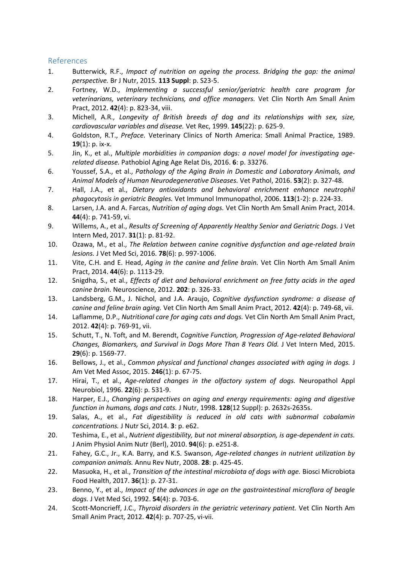## References

- 1. Butterwick, R.F., *Impact of nutrition on ageing the process. Bridging the gap: the animal perspective.* Br J Nutr, 2015. **113 Suppl**: p. S23-5.
- 2. Fortney, W.D., *Implementing a successful senior/geriatric health care program for veterinarians, veterinary technicians, and office managers.* Vet Clin North Am Small Anim Pract, 2012. **42**(4): p. 823-34, viii.
- 3. Michell, A.R., *Longevity of British breeds of dog and its relationships with sex, size, cardiovascular variables and disease.* Vet Rec, 1999. **145**(22): p. 625-9.
- 4. Goldston, R.T., *Preface.* Veterinary Clinics of North America: Small Animal Practice, 1989. **19**(1): p. ix-x.
- 5. Jin, K., et al., *Multiple morbidities in companion dogs: a novel model for investigating agerelated disease.* Pathobiol Aging Age Relat Dis, 2016. **6**: p. 33276.
- 6. Youssef, S.A., et al., *Pathology of the Aging Brain in Domestic and Laboratory Animals, and Animal Models of Human Neurodegenerative Diseases.* Vet Pathol, 2016. **53**(2): p. 327-48.
- 7. Hall, J.A., et al., *Dietary antioxidants and behavioral enrichment enhance neutrophil phagocytosis in geriatric Beagles.* Vet Immunol Immunopathol, 2006. **113**(1-2): p. 224-33.
- 8. Larsen, J.A. and A. Farcas, *Nutrition of aging dogs.* Vet Clin North Am Small Anim Pract, 2014. **44**(4): p. 741-59, vi.
- 9. Willems, A., et al., *Results of Screening of Apparently Healthy Senior and Geriatric Dogs.* J Vet Intern Med, 2017. **31**(1): p. 81-92.
- 10. Ozawa, M., et al., *The Relation between canine cognitive dysfunction and age-related brain lesions.* J Vet Med Sci, 2016. **78**(6): p. 997-1006.
- 11. Vite, C.H. and E. Head, *Aging in the canine and feline brain.* Vet Clin North Am Small Anim Pract, 2014. **44**(6): p. 1113-29.
- 12. Snigdha, S., et al., *Effects of diet and behavioral enrichment on free fatty acids in the aged canine brain.* Neuroscience, 2012. **202**: p. 326-33.
- 13. Landsberg, G.M., J. Nichol, and J.A. Araujo, *Cognitive dysfunction syndrome: a disease of canine and feline brain aging.* Vet Clin North Am Small Anim Pract, 2012. **42**(4): p. 749-68, vii.
- 14. Laflamme, D.P., *Nutritional care for aging cats and dogs.* Vet Clin North Am Small Anim Pract, 2012. **42**(4): p. 769-91, vii.
- 15. Schutt, T., N. Toft, and M. Berendt, *Cognitive Function, Progression of Age-related Behavioral Changes, Biomarkers, and Survival in Dogs More Than 8 Years Old.* J Vet Intern Med, 2015. **29**(6): p. 1569-77.
- 16. Bellows, J., et al., *Common physical and functional changes associated with aging in dogs.* J Am Vet Med Assoc, 2015. **246**(1): p. 67-75.
- 17. Hirai, T., et al., *Age-related changes in the olfactory system of dogs.* Neuropathol Appl Neurobiol, 1996. **22**(6): p. 531-9.
- 18. Harper, E.J., *Changing perspectives on aging and energy requirements: aging and digestive function in humans, dogs and cats.* J Nutr, 1998. **128**(12 Suppl): p. 2632s-2635s.
- 19. Salas, A., et al., *Fat digestibility is reduced in old cats with subnormal cobalamin concentrations.* J Nutr Sci, 2014. **3**: p. e62.
- 20. Teshima, E., et al., *Nutrient digestibility, but not mineral absorption, is age-dependent in cats.* J Anim Physiol Anim Nutr (Berl), 2010. **94**(6): p. e251-8.
- 21. Fahey, G.C., Jr., K.A. Barry, and K.S. Swanson, *Age-related changes in nutrient utilization by companion animals.* Annu Rev Nutr, 2008. **28**: p. 425-45.
- 22. Masuoka, H., et al., *Transition of the intestinal microbiota of dogs with age.* Biosci Microbiota Food Health, 2017. **36**(1): p. 27-31.
- 23. Benno, Y., et al., *Impact of the advances in age on the gastrointestinal microflora of beagle dogs.* J Vet Med Sci, 1992. **54**(4): p. 703-6.
- 24. Scott-Moncrieff, J.C., *Thyroid disorders in the geriatric veterinary patient.* Vet Clin North Am Small Anim Pract, 2012. **42**(4): p. 707-25, vi-vii.